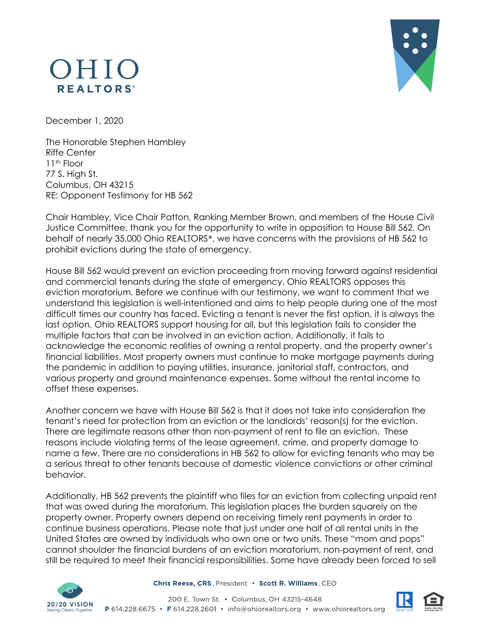## OHIO **REALTORS**<sup>®</sup>



December 1, 2020

The Honorable Stephen Hambley Riffe Center 11th Floor 77 S. High St. Columbus, OH 43215 RE: Opponent Testimony for HB 562

Chair Hambley, Vice Chair Patton, Ranking Member Brown, and members of the House Civil Justice Committee, thank you for the opportunity to write in opposition to House Bill 562. On behalf of nearly 35,000 Ohio REALTORS®, we have concerns with the provisions of HB 562 to prohibit evictions during the state of emergency.

House Bill 562 would prevent an eviction proceeding from moving forward against residential and commercial tenants during the state of emergency. Ohio REALTORS opposes this eviction moratorium. Before we continue with our testimony, we want to comment that we understand this legislation is well-intentioned and aims to help people during one of the most difficult times our country has faced. Evicting a tenant is never the first option, it is always the last option. Ohio REALTORS support housing for all, but this legislation fails to consider the multiple factors that can be involved in an eviction action. Additionally, it fails to acknowledge the economic realities of owning a rental property, and the property owner's financial liabilities. Most property owners must continue to make mortgage payments during the pandemic in addition to paying utilities, insurance, janitorial staff, contractors, and various property and ground maintenance expenses. Some without the rental income to offset these expenses.

Another concern we have with House Bill 562 is that it does not take into consideration the tenant's need for protection from an eviction or the landlords' reason(s) for the eviction. There are legitimate reasons other than non-payment of rent to file an eviction. These reasons include violating terms of the lease agreement, crime, and property damage to name a few. There are no considerations in HB 562 to allow for evicting tenants who may be a serious threat to other tenants because of domestic violence convictions or other criminal behavior.

Additionally, HB 562 prevents the plaintiff who files for an eviction from collecting unpaid rent that was owed during the moratorium. This legislation places the burden squarely on the property owner. Property owners depend on receiving timely rent payments in order to continue business operations. Please note that just under one half of all rental units in the United States are owned by individuals who own one or two units. These "mom and pops" cannot shoulder the financial burdens of an eviction moratorium, non-payment of rent, and still be required to meet their financial responsibilities. Some have already been forced to sell



Chris Reese, CRS, President · Scott R. Williams, CEO